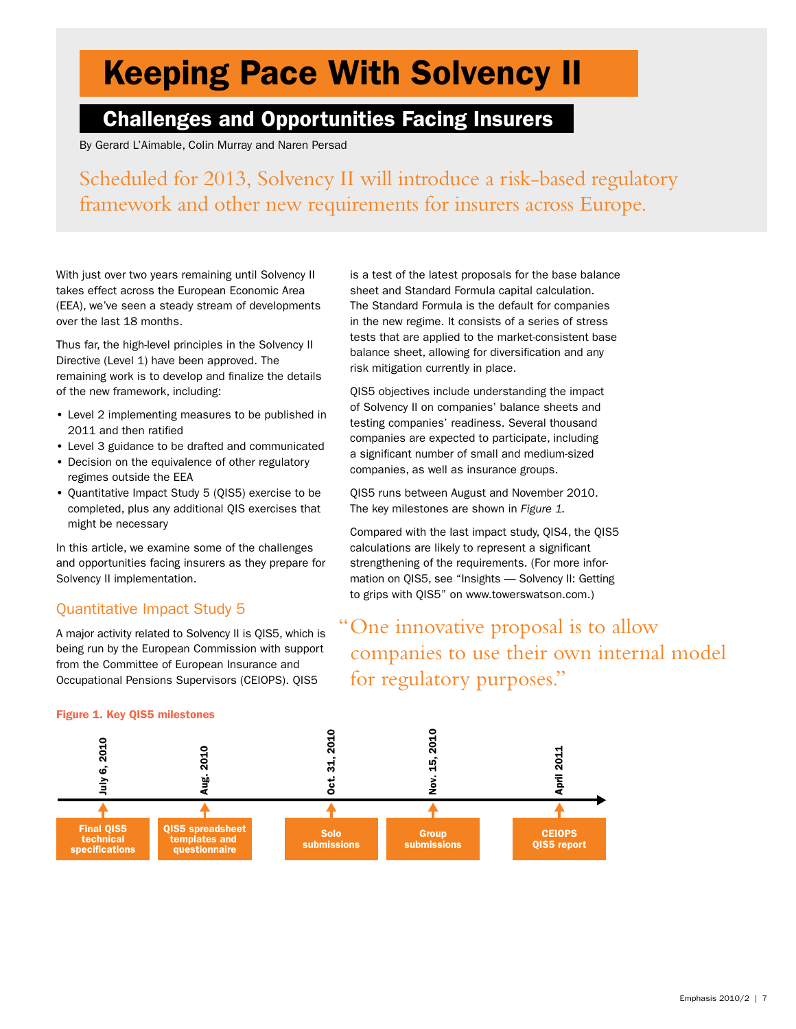# Keeping Pace With Solvency II

## Challenges and Opportunities Facing Insurers

By Gerard L'Aimable, Colin Murray and Naren Persad

Scheduled for 2013, Solvency II will introduce a risk-based regulatory framework and other new requirements for insurers across Europe.

With just over two years remaining until Solvency II takes effect across the European Economic Area (EEA), we've seen a steady stream of developments over the last 18 months.

Thus far, the high-level principles in the Solvency II Directive (Level 1) have been approved. The remaining work is to develop and finalize the details of the new framework, including:

- Level 2 implementing measures to be published in 2011 and then ratified
- Level 3 guidance to be drafted and communicated
- Decision on the equivalence of other regulatory regimes outside the EEA
- Quantitative Impact Study 5 (QIS5) exercise to be completed, plus any additional QIS exercises that might be necessary

In this article, we examine some of the challenges and opportunities facing insurers as they prepare for Solvency II implementation.

### Quantitative Impact Study 5

A major activity related to Solvency II is QIS5, which is being run by the European Commission with support from the Committee of European Insurance and Occupational Pensions Supervisors (CEIOPS). QIS5

is a test of the latest proposals for the base balance sheet and Standard Formula capital calculation. The Standard Formula is the default for companies in the new regime. It consists of a series of stress tests that are applied to the market-consistent base balance sheet, allowing for diversification and any risk mitigation currently in place.

QIS5 objectives include understanding the impact of Solvency II on companies' balance sheets and testing companies' readiness. Several thousand companies are expected to participate, including a significant number of small and medium-sized companies, as well as insurance groups.

QIS5 runs between August and November 2010. The key milestones are shown in *Figure 1.*

Compared with the last impact study, QIS4, the QIS5 calculations are likely to represent a significant strengthening of the requirements. (For more information on QIS5, see "Insights — Solvency II: Getting to grips with QIS5" on www.towerswatson.com.)

## "One innovative proposal is to allow companies to use their own internal model for regulatory purposes."



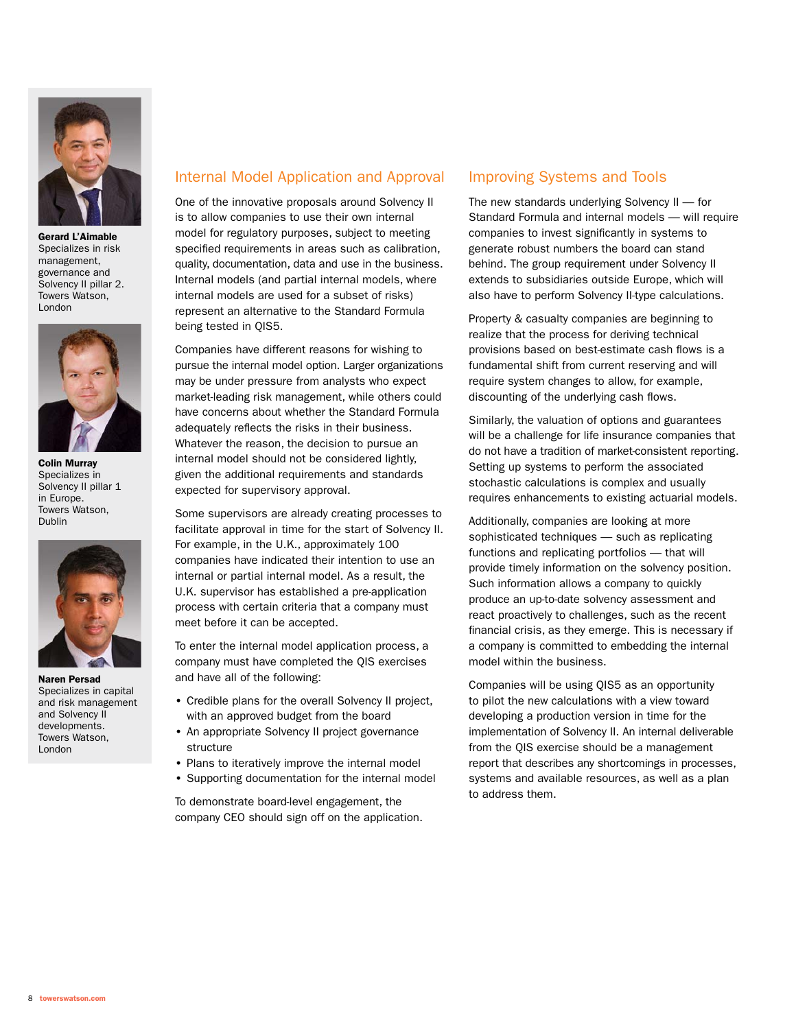

Gerard L'Aimable Specializes in risk management, governance and Solvency II pillar 2. Towers Watson, London



Colin Murray Specializes in Solvency II pillar 1 in Europe. Towers Watson, Dublin



Naren Persad Specializes in capital and risk management and Solvency II developments. Towers Watson, London

#### Internal Model Application and Approval

One of the innovative proposals around Solvency II is to allow companies to use their own internal model for regulatory purposes, subject to meeting specified requirements in areas such as calibration, quality, documentation, data and use in the business. Internal models (and partial internal models, where internal models are used for a subset of risks) represent an alternative to the Standard Formula being tested in QIS5.

Companies have different reasons for wishing to pursue the internal model option. Larger organizations may be under pressure from analysts who expect market-leading risk management, while others could have concerns about whether the Standard Formula adequately reflects the risks in their business. Whatever the reason, the decision to pursue an internal model should not be considered lightly, given the additional requirements and standards expected for supervisory approval.

Some supervisors are already creating processes to facilitate approval in time for the start of Solvency II. For example, in the U.K., approximately 100 companies have indicated their intention to use an internal or partial internal model. As a result, the U.K. supervisor has established a pre-application process with certain criteria that a company must meet before it can be accepted.

To enter the internal model application process, a company must have completed the QIS exercises and have all of the following:

- Credible plans for the overall Solvency II project, with an approved budget from the board
- An appropriate Solvency II project governance structure
- Plans to iteratively improve the internal model
- Supporting documentation for the internal model

To demonstrate board-level engagement, the company CEO should sign off on the application.

#### Improving Systems and Tools

The new standards underlying Solvency II — for Standard Formula and internal models — will require companies to invest significantly in systems to generate robust numbers the board can stand behind. The group requirement under Solvency II extends to subsidiaries outside Europe, which will also have to perform Solvency II-type calculations.

Property & casualty companies are beginning to realize that the process for deriving technical provisions based on best-estimate cash flows is a fundamental shift from current reserving and will require system changes to allow, for example, discounting of the underlying cash flows.

Similarly, the valuation of options and guarantees will be a challenge for life insurance companies that do not have a tradition of market-consistent reporting. Setting up systems to perform the associated stochastic calculations is complex and usually requires enhancements to existing actuarial models.

Additionally, companies are looking at more sophisticated techniques — such as replicating functions and replicating portfolios — that will provide timely information on the solvency position. Such information allows a company to quickly produce an up-to-date solvency assessment and react proactively to challenges, such as the recent financial crisis, as they emerge. This is necessary if a company is committed to embedding the internal model within the business.

Companies will be using QIS5 as an opportunity to pilot the new calculations with a view toward developing a production version in time for the implementation of Solvency II. An internal deliverable from the QIS exercise should be a management report that describes any shortcomings in processes, systems and available resources, as well as a plan to address them.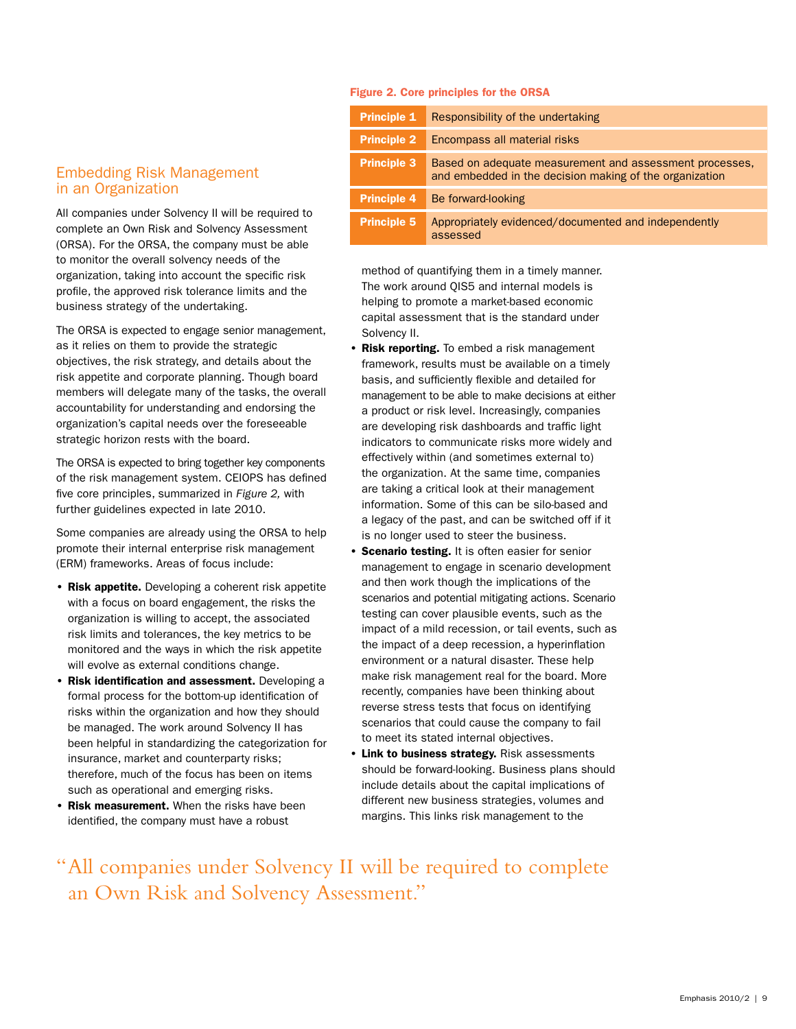#### Figure 2. Core principles for the ORSA

**Principle 1** Responsibility of the undertaking

| <b>Principle 2</b> | Encompass all material risks                                                                                       |
|--------------------|--------------------------------------------------------------------------------------------------------------------|
| <b>Principle 3</b> | Based on adequate measurement and assessment processes.<br>and embedded in the decision making of the organization |
| <b>Principle 4</b> | Be forward-looking                                                                                                 |
| <b>Principle 5</b> | Appropriately evidenced/documented and independently<br>assessed                                                   |

in an Organization All companies under Solvency II will be required to

Embedding Risk Management

complete an Own Risk and Solvency Assessment (ORSA). For the ORSA, the company must be able to monitor the overall solvency needs of the organization, taking into account the specific risk profile, the approved risk tolerance limits and the business strategy of the undertaking.

The ORSA is expected to engage senior management, as it relies on them to provide the strategic objectives, the risk strategy, and details about the risk appetite and corporate planning. Though board members will delegate many of the tasks, the overall accountability for understanding and endorsing the organization's capital needs over the foreseeable strategic horizon rests with the board.

The ORSA is expected to bring together key components of the risk management system. CEIOPS has defined five core principles, summarized in *Figure 2,* with further guidelines expected in late 2010.

Some companies are already using the ORSA to help promote their internal enterprise risk management (ERM) frameworks. Areas of focus include:

- Risk appetite. Developing a coherent risk appetite with a focus on board engagement, the risks the organization is willing to accept, the associated risk limits and tolerances, the key metrics to be monitored and the ways in which the risk appetite will evolve as external conditions change.
- Risk identification and assessment. Developing a formal process for the bottom-up identification of risks within the organization and how they should be managed. The work around Solvency II has been helpful in standardizing the categorization for insurance, market and counterparty risks; therefore, much of the focus has been on items such as operational and emerging risks.
- Risk measurement. When the risks have been identified, the company must have a robust

method of quantifying them in a timely manner. The work around QIS5 and internal models is helping to promote a market-based economic capital assessment that is the standard under Solvency II.

- Risk reporting. To embed a risk management framework, results must be available on a timely basis, and sufficiently flexible and detailed for management to be able to make decisions at either a product or risk level. Increasingly, companies are developing risk dashboards and traffic light indicators to communicate risks more widely and effectively within (and sometimes external to) the organization. At the same time, companies are taking a critical look at their management information. Some of this can be silo-based and a legacy of the past, and can be switched off if it is no longer used to steer the business.
- **Scenario testing.** It is often easier for senior management to engage in scenario development and then work though the implications of the scenarios and potential mitigating actions. Scenario testing can cover plausible events, such as the impact of a mild recession, or tail events, such as the impact of a deep recession, a hyperinflation environment or a natural disaster. These help make risk management real for the board. More recently, companies have been thinking about reverse stress tests that focus on identifying scenarios that could cause the company to fail to meet its stated internal objectives.
- Link to business strategy. Risk assessments should be forward-looking. Business plans should include details about the capital implications of different new business strategies, volumes and margins. This links risk management to the

"All companies under Solvency II will be required to complete an Own Risk and Solvency Assessment."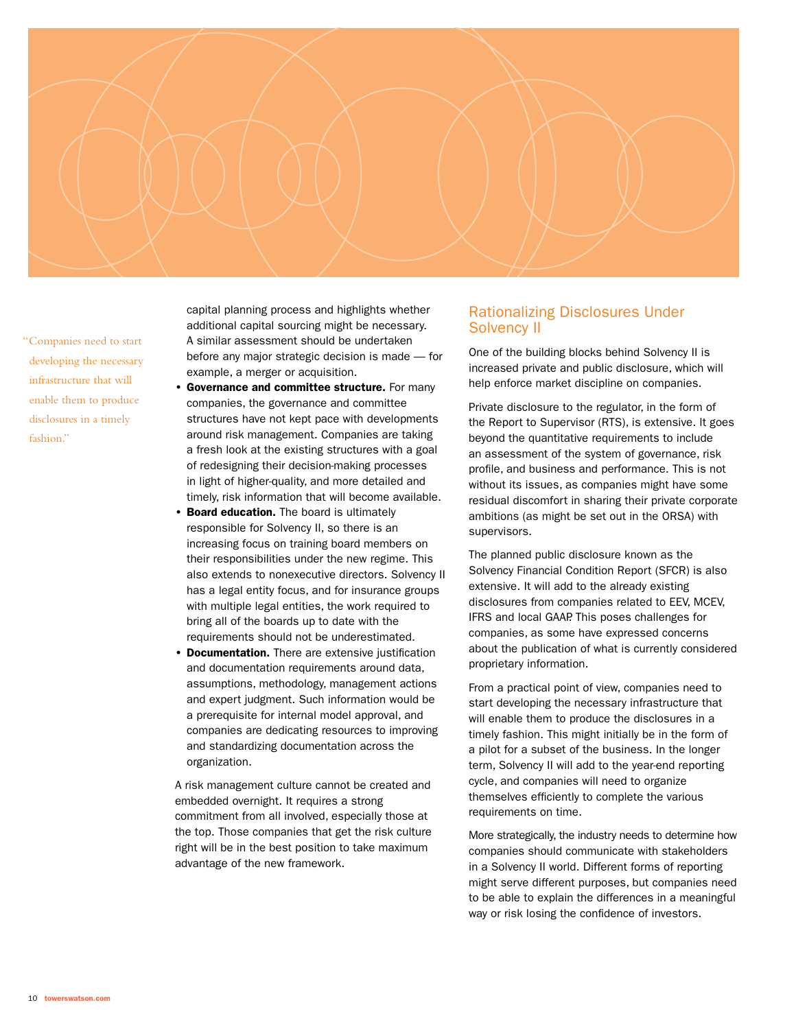

"Companies need to start developing the necessary infrastructure that will enable them to produce disclosures in a timely fashion."

capital planning process and highlights whether additional capital sourcing might be necessary. A similar assessment should be undertaken before any major strategic decision is made — for example, a merger or acquisition.

- Governance and committee structure. For many companies, the governance and committee structures have not kept pace with developments around risk management. Companies are taking a fresh look at the existing structures with a goal of redesigning their decision-making processes in light of higher-quality, and more detailed and timely, risk information that will become available.
- **Board education.** The board is ultimately responsible for Solvency II, so there is an increasing focus on training board members on their responsibilities under the new regime. This also extends to nonexecutive directors. Solvency II has a legal entity focus, and for insurance groups with multiple legal entities, the work required to bring all of the boards up to date with the requirements should not be underestimated.
- Documentation. There are extensive justification and documentation requirements around data, assumptions, methodology, management actions and expert judgment. Such information would be a prerequisite for internal model approval, and companies are dedicating resources to improving and standardizing documentation across the organization.

A risk management culture cannot be created and embedded overnight. It requires a strong commitment from all involved, especially those at the top. Those companies that get the risk culture right will be in the best position to take maximum advantage of the new framework.

#### Rationalizing Disclosures Under Solvency II

One of the building blocks behind Solvency II is increased private and public disclosure, which will help enforce market discipline on companies.

Private disclosure to the regulator, in the form of the Report to Supervisor (RTS), is extensive. It goes beyond the quantitative requirements to include an assessment of the system of governance, risk profile, and business and performance. This is not without its issues, as companies might have some residual discomfort in sharing their private corporate ambitions (as might be set out in the ORSA) with supervisors.

The planned public disclosure known as the Solvency Financial Condition Report (SFCR) is also extensive. It will add to the already existing disclosures from companies related to EEV, MCEV, IFRS and local GAAP. This poses challenges for companies, as some have expressed concerns about the publication of what is currently considered proprietary information.

From a practical point of view, companies need to start developing the necessary infrastructure that will enable them to produce the disclosures in a timely fashion. This might initially be in the form of a pilot for a subset of the business. In the longer term, Solvency II will add to the year-end reporting cycle, and companies will need to organize themselves efficiently to complete the various requirements on time.

More strategically, the industry needs to determine how companies should communicate with stakeholders in a Solvency II world. Different forms of reporting might serve different purposes, but companies need to be able to explain the differences in a meaningful way or risk losing the confidence of investors.